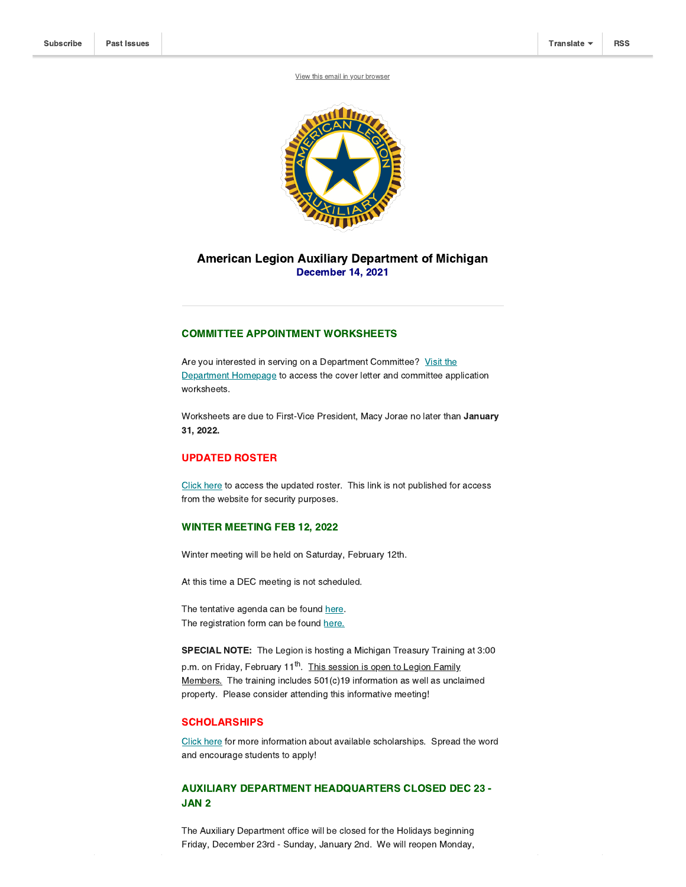View this email in your [browser](https://mailchi.mp/fb0dbd1ecb78/impact-reports-due-14861314?e=[UNIQID])



# American Legion Auxiliary Department of Michigan December 14, 2021

### COMMITTEE APPOINTMENT WORKSHEETS

Are you interested in serving on a Department Committee? Visit the [Department](http://https//michalaux.org/) Homepage to access the cover letter and committee application worksheets.

Worksheets are due to First-Vice President, Macy Jorae no later than January 31, 2022.

## UPDATED ROSTER

[Click](https://michalaux.org/wp-content/uploads/2021/12/2021-2022-Department-Roster.pdf) here to access the updated roster. This link is not published for access from the website for security purposes.

#### WINTER MEETING FEB 12, 2022

Winter meeting will be held on Saturday, February 12th.

At this time a DEC meeting is not scheduled.

The tentative agenda can be found [here](https://michalaux.org/wp-content/uploads/2021/12/2022-Winter-Meeting-Agenda.pdf). The registration form can be found [here.](https://michalaux.org/wp-content/uploads/2021/09/2022-Winter-Meeting-Registration-Form.pdf)

SPECIAL NOTE: The Legion is hosting a Michigan Treasury Training at 3:00

p.m. on Friday, February 11<sup>th</sup>. This session is open to Legion Family Members. The training includes 501(c)19 information as well as unclaimed property. Please consider attending this informative meeting!

### **SCHOLARSHIPS**

[Click](https://michalaux.org/wp-content/uploads/2021/12/Education-unit-mailing-2021.pdf) here for more information about available scholarships. Spread the word and encourage students to apply!

# AUXILIARY DEPARTMENT HEADQUARTERS CLOSED DEC 23 - JAN 2

The Auxiliary Department office will be closed for the Holidays beginning Friday, December 23rd - Sunday, January 2nd. We will reopen Monday,